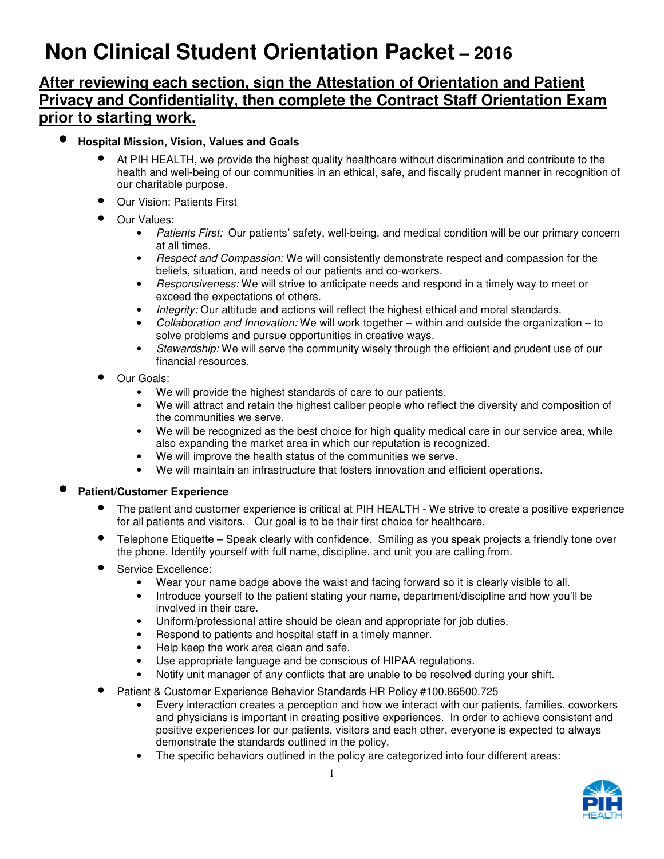# **Non Clinical Student Orientation Packet – 2016**

# **After reviewing each section, sign the Attestation of Orientation and Patient Privacy and Confidentiality, then complete the Contract Staff Orientation Exam prior to starting work.**

# • **Hospital Mission, Vision, Values and Goals**

- At PIH HEALTH, we provide the highest quality healthcare without discrimination and contribute to the health and well-being of our communities in an ethical, safe, and fiscally prudent manner in recognition of our charitable purpose.
- Our Vision: Patients First
- Our Values:
	- Patients First: Our patients' safety, well-being, and medical condition will be our primary concern at all times.
	- Hespect and Compassion: We will consistently demonstrate respect and compassion for the beliefs, situation, and needs of our patients and co-workers.
	- Hesponsiveness: We will strive to anticipate needs and respond in a timely way to meet or exceed the expectations of others.
	- Integrity: Our attitude and actions will reflect the highest ethical and moral standards.
	- Collaboration and Innovation: We will work together  $-$  within and outside the organization  $-$  to solve problems and pursue opportunities in creative ways.
	- Stewardship: We will serve the community wisely through the efficient and prudent use of our financial resources.
- Our Goals:
	- We will provide the highest standards of care to our patients.
	- We will attract and retain the highest caliber people who reflect the diversity and composition of the communities we serve.
	- We will be recognized as the best choice for high quality medical care in our service area, while also expanding the market area in which our reputation is recognized.
	- We will improve the health status of the communities we serve.
	- We will maintain an infrastructure that fosters innovation and efficient operations.

## • **Patient/Customer Experience**

- The patient and customer experience is critical at PIH HEALTH We strive to create a positive experience for all patients and visitors. Our goal is to be their first choice for healthcare.
- Telephone Etiquette Speak clearly with confidence. Smiling as you speak projects a friendly tone over the phone. Identify yourself with full name, discipline, and unit you are calling from.
- Service Excellence:
	- Wear your name badge above the waist and facing forward so it is clearly visible to all.
	- Introduce yourself to the patient stating your name, department/discipline and how you'll be involved in their care.
	- Uniform/professional attire should be clean and appropriate for job duties.
	- Respond to patients and hospital staff in a timely manner.
	- Help keep the work area clean and safe.
	- Use appropriate language and be conscious of HIPAA regulations.
	- Notify unit manager of any conflicts that are unable to be resolved during your shift.
- Patient & Customer Experience Behavior Standards HR Policy #100.86500.725
	- Every interaction creates a perception and how we interact with our patients, families, coworkers and physicians is important in creating positive experiences. In order to achieve consistent and positive experiences for our patients, visitors and each other, everyone is expected to always demonstrate the standards outlined in the policy.
	- The specific behaviors outlined in the policy are categorized into four different areas:

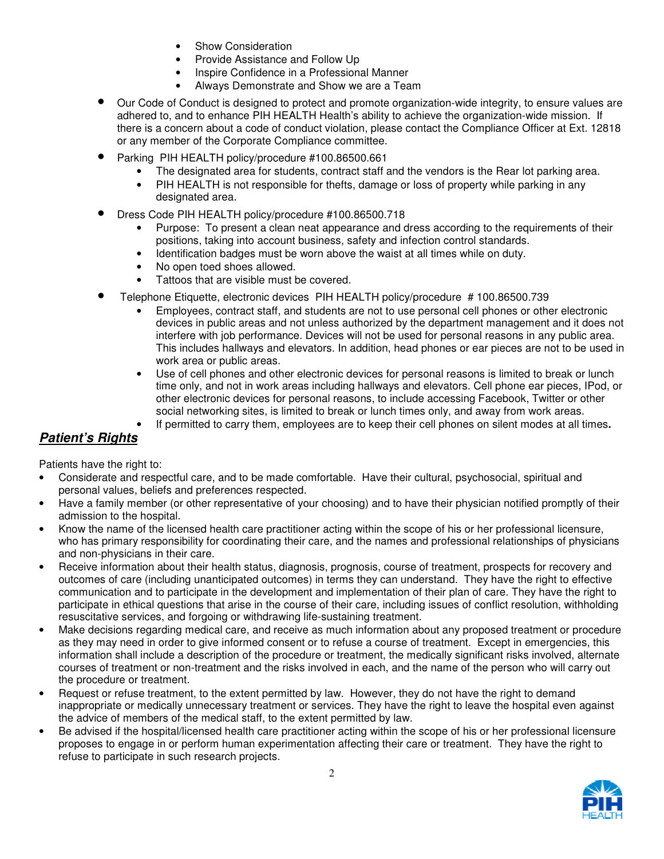- Show Consideration
- Provide Assistance and Follow Up
- Inspire Confidence in a Professional Manner
- Always Demonstrate and Show we are a Team
- Our Code of Conduct is designed to protect and promote organization-wide integrity, to ensure values are adhered to, and to enhance PIH HEALTH Health's ability to achieve the organization-wide mission. If there is a concern about a code of conduct violation, please contact the Compliance Officer at Ext. 12818 or any member of the Corporate Compliance committee.
- Parking PIH HEALTH policy/procedure #100.86500.661
	- The designated area for students, contract staff and the vendors is the Rear lot parking area.
	- PIH HEALTH is not responsible for thefts, damage or loss of property while parking in any designated area.
- Dress Code PIH HEALTH policy/procedure #100.86500.718
	- Purpose: To present a clean neat appearance and dress according to the requirements of their positions, taking into account business, safety and infection control standards.
	- Identification badges must be worn above the waist at all times while on duty.
	- No open toed shoes allowed.
	- Tattoos that are visible must be covered.
- Telephone Etiquette, electronic devices PIH HEALTH policy/procedure # 100.86500.739
	- Employees, contract staff, and students are not to use personal cell phones or other electronic devices in public areas and not unless authorized by the department management and it does not interfere with job performance. Devices will not be used for personal reasons in any public area. This includes hallways and elevators. In addition, head phones or ear pieces are not to be used in work area or public areas.
	- Use of cell phones and other electronic devices for personal reasons is limited to break or lunch time only, and not in work areas including hallways and elevators. Cell phone ear pieces, IPod, or other electronic devices for personal reasons, to include accessing Facebook, Twitter or other social networking sites, is limited to break or lunch times only, and away from work areas.
	- If permitted to carry them, employees are to keep their cell phones on silent modes at all times**.**

# **Patient's Rights**

Patients have the right to:

- Considerate and respectful care, and to be made comfortable. Have their cultural, psychosocial, spiritual and personal values, beliefs and preferences respected.
- Have a family member (or other representative of your choosing) and to have their physician notified promptly of their admission to the hospital.
- Know the name of the licensed health care practitioner acting within the scope of his or her professional licensure, who has primary responsibility for coordinating their care, and the names and professional relationships of physicians and non-physicians in their care.
- Receive information about their health status, diagnosis, prognosis, course of treatment, prospects for recovery and outcomes of care (including unanticipated outcomes) in terms they can understand. They have the right to effective communication and to participate in the development and implementation of their plan of care. They have the right to participate in ethical questions that arise in the course of their care, including issues of conflict resolution, withholding resuscitative services, and forgoing or withdrawing life-sustaining treatment.
- Make decisions regarding medical care, and receive as much information about any proposed treatment or procedure as they may need in order to give informed consent or to refuse a course of treatment. Except in emergencies, this information shall include a description of the procedure or treatment, the medically significant risks involved, alternate courses of treatment or non-treatment and the risks involved in each, and the name of the person who will carry out the procedure or treatment.
- Request or refuse treatment, to the extent permitted by law. However, they do not have the right to demand inappropriate or medically unnecessary treatment or services. They have the right to leave the hospital even against the advice of members of the medical staff, to the extent permitted by law.
- Be advised if the hospital/licensed health care practitioner acting within the scope of his or her professional licensure proposes to engage in or perform human experimentation affecting their care or treatment. They have the right to refuse to participate in such research projects.

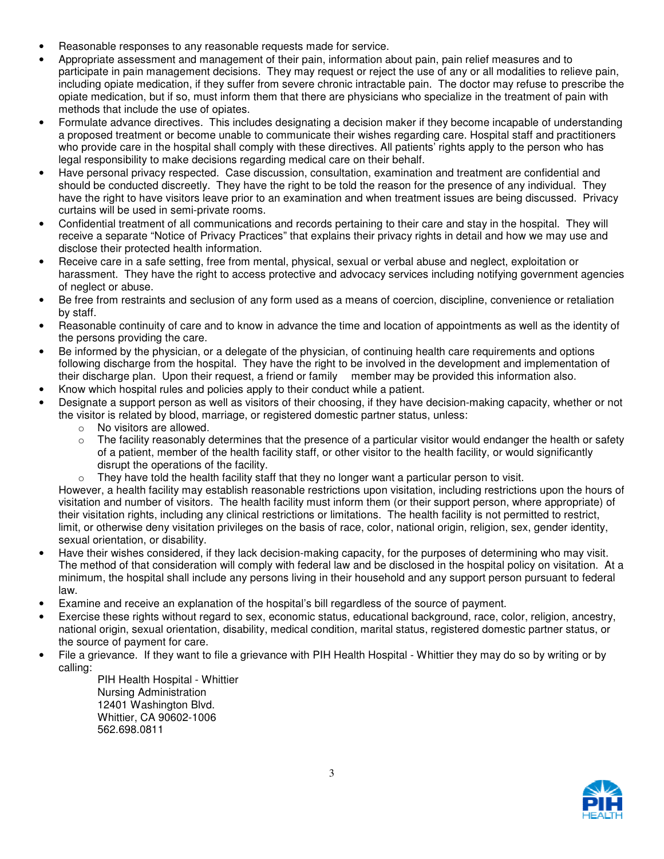- Reasonable responses to any reasonable requests made for service.
- Appropriate assessment and management of their pain, information about pain, pain relief measures and to participate in pain management decisions. They may request or reject the use of any or all modalities to relieve pain, including opiate medication, if they suffer from severe chronic intractable pain. The doctor may refuse to prescribe the opiate medication, but if so, must inform them that there are physicians who specialize in the treatment of pain with methods that include the use of opiates.
- Formulate advance directives. This includes designating a decision maker if they become incapable of understanding a proposed treatment or become unable to communicate their wishes regarding care. Hospital staff and practitioners who provide care in the hospital shall comply with these directives. All patients' rights apply to the person who has legal responsibility to make decisions regarding medical care on their behalf.
- Have personal privacy respected. Case discussion, consultation, examination and treatment are confidential and should be conducted discreetly. They have the right to be told the reason for the presence of any individual. They have the right to have visitors leave prior to an examination and when treatment issues are being discussed. Privacy curtains will be used in semi-private rooms.
- Confidential treatment of all communications and records pertaining to their care and stay in the hospital. They will receive a separate "Notice of Privacy Practices" that explains their privacy rights in detail and how we may use and disclose their protected health information.
- Receive care in a safe setting, free from mental, physical, sexual or verbal abuse and neglect, exploitation or harassment. They have the right to access protective and advocacy services including notifying government agencies of neglect or abuse.
- Be free from restraints and seclusion of any form used as a means of coercion, discipline, convenience or retaliation by staff.
- Reasonable continuity of care and to know in advance the time and location of appointments as well as the identity of the persons providing the care.
- Be informed by the physician, or a delegate of the physician, of continuing health care requirements and options following discharge from the hospital. They have the right to be involved in the development and implementation of their discharge plan. Upon their request, a friend or family member may be provided this information also.
- Know which hospital rules and policies apply to their conduct while a patient.
- Designate a support person as well as visitors of their choosing, if they have decision-making capacity, whether or not the visitor is related by blood, marriage, or registered domestic partner status, unless:
	- o No visitors are allowed.
	- $\circ$  The facility reasonably determines that the presence of a particular visitor would endanger the health or safety of a patient, member of the health facility staff, or other visitor to the health facility, or would significantly disrupt the operations of the facility.
	- They have told the health facility staff that they no longer want a particular person to visit.

However, a health facility may establish reasonable restrictions upon visitation, including restrictions upon the hours of visitation and number of visitors. The health facility must inform them (or their support person, where appropriate) of their visitation rights, including any clinical restrictions or limitations. The health facility is not permitted to restrict, limit, or otherwise deny visitation privileges on the basis of race, color, national origin, religion, sex, gender identity, sexual orientation, or disability.

- Have their wishes considered, if they lack decision-making capacity, for the purposes of determining who may visit. The method of that consideration will comply with federal law and be disclosed in the hospital policy on visitation. At a minimum, the hospital shall include any persons living in their household and any support person pursuant to federal law.
- Examine and receive an explanation of the hospital's bill regardless of the source of payment.
- Exercise these rights without regard to sex, economic status, educational background, race, color, religion, ancestry, national origin, sexual orientation, disability, medical condition, marital status, registered domestic partner status, or the source of payment for care.
- File a grievance. If they want to file a grievance with PIH Health Hospital Whittier they may do so by writing or by calling:

PIH Health Hospital - Whittier Nursing Administration 12401 Washington Blvd. Whittier, CA 90602-1006 562.698.0811

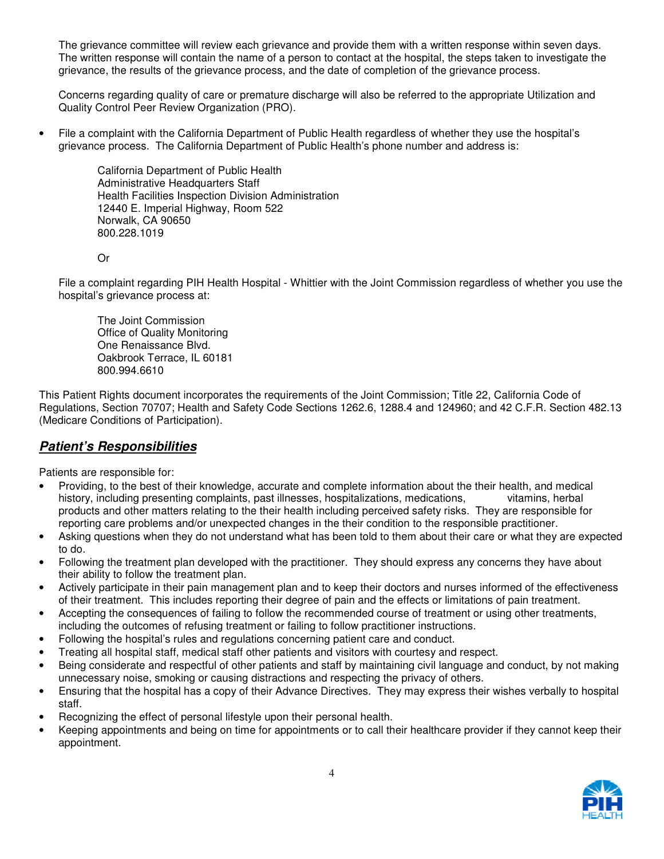The grievance committee will review each grievance and provide them with a written response within seven days. The written response will contain the name of a person to contact at the hospital, the steps taken to investigate the grievance, the results of the grievance process, and the date of completion of the grievance process.

Concerns regarding quality of care or premature discharge will also be referred to the appropriate Utilization and Quality Control Peer Review Organization (PRO).

• File a complaint with the California Department of Public Health regardless of whether they use the hospital's grievance process. The California Department of Public Health's phone number and address is:

> California Department of Public Health Administrative Headquarters Staff Health Facilities Inspection Division Administration 12440 E. Imperial Highway, Room 522 Norwalk, CA 90650 800.228.1019

Or

File a complaint regarding PIH Health Hospital - Whittier with the Joint Commission regardless of whether you use the hospital's grievance process at:

The Joint Commission Office of Quality Monitoring One Renaissance Blvd. Oakbrook Terrace, IL 60181 800.994.6610

This Patient Rights document incorporates the requirements of the Joint Commission; Title 22, California Code of Regulations, Section 70707; Health and Safety Code Sections 1262.6, 1288.4 and 124960; and 42 C.F.R. Section 482.13 (Medicare Conditions of Participation).

# **Patient's Responsibilities**

Patients are responsible for:

- Providing, to the best of their knowledge, accurate and complete information about the their health, and medical history, including presenting complaints, past illnesses, hospitalizations, medications, vitamins, herbal products and other matters relating to the their health including perceived safety risks. They are responsible for reporting care problems and/or unexpected changes in the their condition to the responsible practitioner.
- Asking questions when they do not understand what has been told to them about their care or what they are expected to do.
- Following the treatment plan developed with the practitioner. They should express any concerns they have about their ability to follow the treatment plan.
- Actively participate in their pain management plan and to keep their doctors and nurses informed of the effectiveness of their treatment. This includes reporting their degree of pain and the effects or limitations of pain treatment.
- Accepting the consequences of failing to follow the recommended course of treatment or using other treatments, including the outcomes of refusing treatment or failing to follow practitioner instructions.
- Following the hospital's rules and regulations concerning patient care and conduct.
- Treating all hospital staff, medical staff other patients and visitors with courtesy and respect.
- Being considerate and respectful of other patients and staff by maintaining civil language and conduct, by not making unnecessary noise, smoking or causing distractions and respecting the privacy of others.
- Ensuring that the hospital has a copy of their Advance Directives. They may express their wishes verbally to hospital staff.
- Recognizing the effect of personal lifestyle upon their personal health.
- Keeping appointments and being on time for appointments or to call their healthcare provider if they cannot keep their appointment.

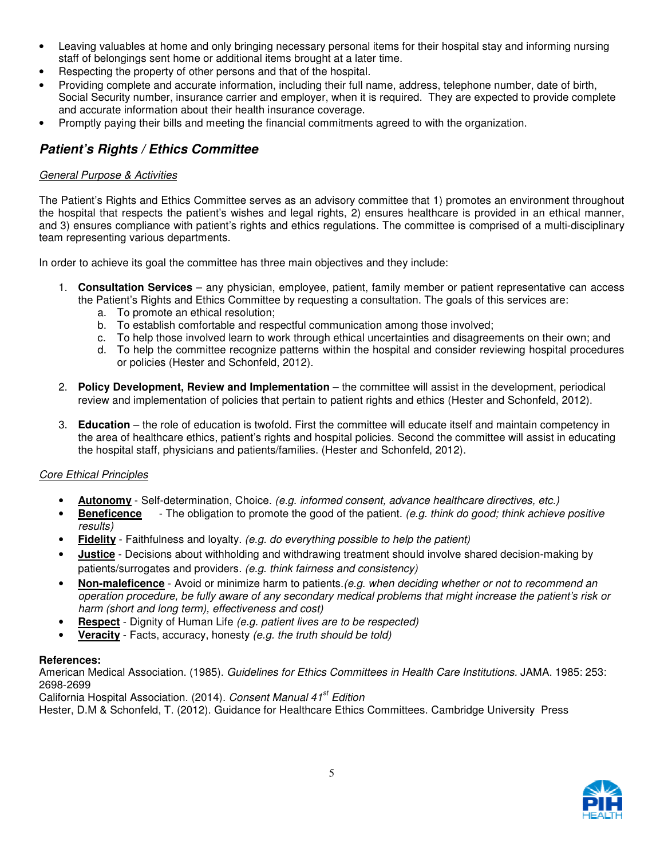- Leaving valuables at home and only bringing necessary personal items for their hospital stay and informing nursing staff of belongings sent home or additional items brought at a later time.
- Respecting the property of other persons and that of the hospital.
- Providing complete and accurate information, including their full name, address, telephone number, date of birth, Social Security number, insurance carrier and employer, when it is required. They are expected to provide complete and accurate information about their health insurance coverage.
- Promptly paying their bills and meeting the financial commitments agreed to with the organization.

# **Patient's Rights / Ethics Committee**

#### General Purpose & Activities

The Patient's Rights and Ethics Committee serves as an advisory committee that 1) promotes an environment throughout the hospital that respects the patient's wishes and legal rights, 2) ensures healthcare is provided in an ethical manner, and 3) ensures compliance with patient's rights and ethics regulations. The committee is comprised of a multi-disciplinary team representing various departments.

In order to achieve its goal the committee has three main objectives and they include:

- 1. **Consultation Services** any physician, employee, patient, family member or patient representative can access the Patient's Rights and Ethics Committee by requesting a consultation. The goals of this services are:
	- a. To promote an ethical resolution;
	- b. To establish comfortable and respectful communication among those involved;
	- c. To help those involved learn to work through ethical uncertainties and disagreements on their own; and
	- d. To help the committee recognize patterns within the hospital and consider reviewing hospital procedures or policies (Hester and Schonfeld, 2012).
- 2. **Policy Development, Review and Implementation** the committee will assist in the development, periodical review and implementation of policies that pertain to patient rights and ethics (Hester and Schonfeld, 2012).
- 3. **Education** the role of education is twofold. First the committee will educate itself and maintain competency in the area of healthcare ethics, patient's rights and hospital policies. Second the committee will assist in educating the hospital staff, physicians and patients/families. (Hester and Schonfeld, 2012).

#### Core Ethical Principles

- **Autonomy** Self-determination, Choice. (e.g. informed consent, advance healthcare directives, etc.)
- **Beneficence** The obligation to promote the good of the patient. (e.g. think do good; think achieve positive results)
- **Fidelity** Faithfulness and loyalty. (e.g. do everything possible to help the patient)
- **Justice** Decisions about withholding and withdrawing treatment should involve shared decision-making by patients/surrogates and providers. (e.g. think fairness and consistency)
- **Non-maleficence**  Avoid or minimize harm to patients.(e.g. when deciding whether or not to recommend an operation procedure, be fully aware of any secondary medical problems that might increase the patient's risk or harm (short and long term), effectiveness and cost)
- **Respect** Dignity of Human Life (e.g. patient lives are to be respected)
- **Veracity** Facts, accuracy, honesty (e.g. the truth should be told)

#### **References:**

American Medical Association. (1985). Guidelines for Ethics Committees in Health Care Institutions. JAMA. 1985: 253: 2698-2699

California Hospital Association. (2014). Consent Manual 41<sup>st</sup> Edition

Hester, D.M & Schonfeld, T. (2012). Guidance for Healthcare Ethics Committees. Cambridge University Press

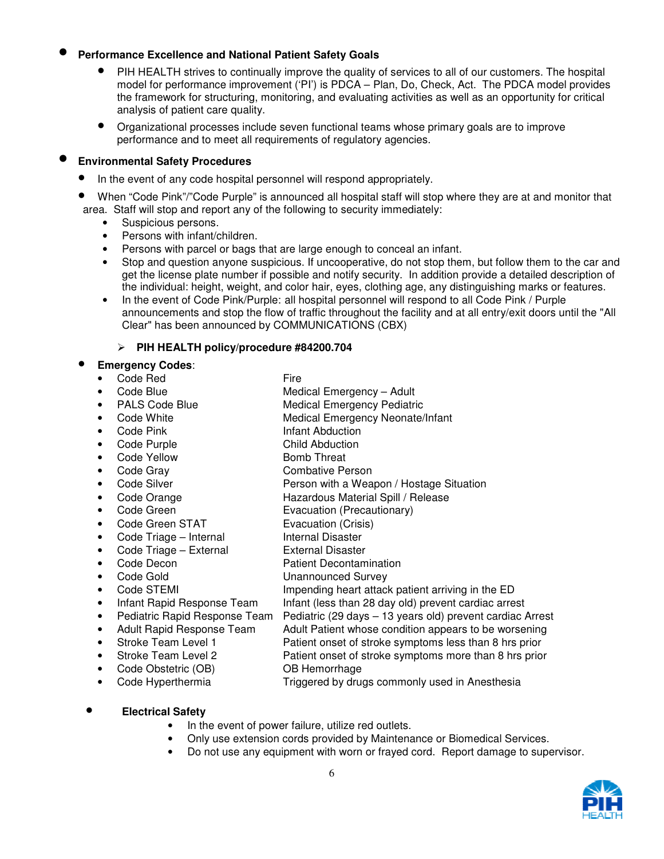#### • **Performance Excellence and National Patient Safety Goals**

- PIH HEALTH strives to continually improve the quality of services to all of our customers. The hospital model for performance improvement ('PI') is PDCA – Plan, Do, Check, Act. The PDCA model provides the framework for structuring, monitoring, and evaluating activities as well as an opportunity for critical analysis of patient care quality.
- Organizational processes include seven functional teams whose primary goals are to improve performance and to meet all requirements of regulatory agencies.

#### • **Environmental Safety Procedures**

- In the event of any code hospital personnel will respond appropriately.
- When "Code Pink"/"Code Purple" is announced all hospital staff will stop where they are at and monitor that area. Staff will stop and report any of the following to security immediately:
	- Suspicious persons.
	- Persons with infant/children.
	- Persons with parcel or bags that are large enough to conceal an infant.
	- Stop and question anyone suspicious. If uncooperative, do not stop them, but follow them to the car and get the license plate number if possible and notify security. In addition provide a detailed description of the individual: height, weight, and color hair, eyes, clothing age, any distinguishing marks or features.
	- In the event of Code Pink/Purple: all hospital personnel will respond to all Code Pink / Purple announcements and stop the flow of traffic throughout the facility and at all entry/exit doors until the "All Clear" has been announced by COMMUNICATIONS (CBX)

#### **PIH HEALTH policy/procedure #84200.704**

#### • **Emergency Codes**:

- Code Red Fire
	-
	- Code Blue **Medical Emergency Adult**
	- PALS Code Blue Medical Emergency Pediatric
- Code White **Medical Emergency Neonate/Infant**
- Code Pink Infant Abduction
- Code Purple Child Abduction
- Code Yellow Bomb Threat
- Code Gray Combative Person
- Code Silver **Person with a Weapon / Hostage Situation**
- Code Orange **Hazardous Material Spill / Release**
- Code Green **Evacuation (Precautionary)**
- Code Green STAT Evacuation (Crisis)
- Code Triage Internal Internal Disaster
- Code Triage External France External Disaster
- Code Decon Patient Decontamination
- Code Gold **Unannounced Survey**
- Code STEMI **Impending heart attack patient arriving in the ED**
- 
- Infant Rapid Response Team Infant (less than 28 day old) prevent cardiac arrest
- Pediatric Rapid Response Team Pediatric (29 days 13 years old) prevent cardiac Arrest • Adult Rapid Response Team Adult Patient whose condition appears to be worsening
- Stroke Team Level 1 **Patient onset of stroke symptoms less than 8 hrs prior** 
	- Stroke Team Level 2 Patient onset of stroke symptoms more than 8 hrs prior
	- Code Obstetric (OB) OB Hemorrhage
	-
	- Code Hyperthermia Triggered by drugs commonly used in Anesthesia
- **Electrical Safety** 
	- In the event of power failure, utilize red outlets.
	- Only use extension cords provided by Maintenance or Biomedical Services.
	- Do not use any equipment with worn or frayed cord. Report damage to supervisor.

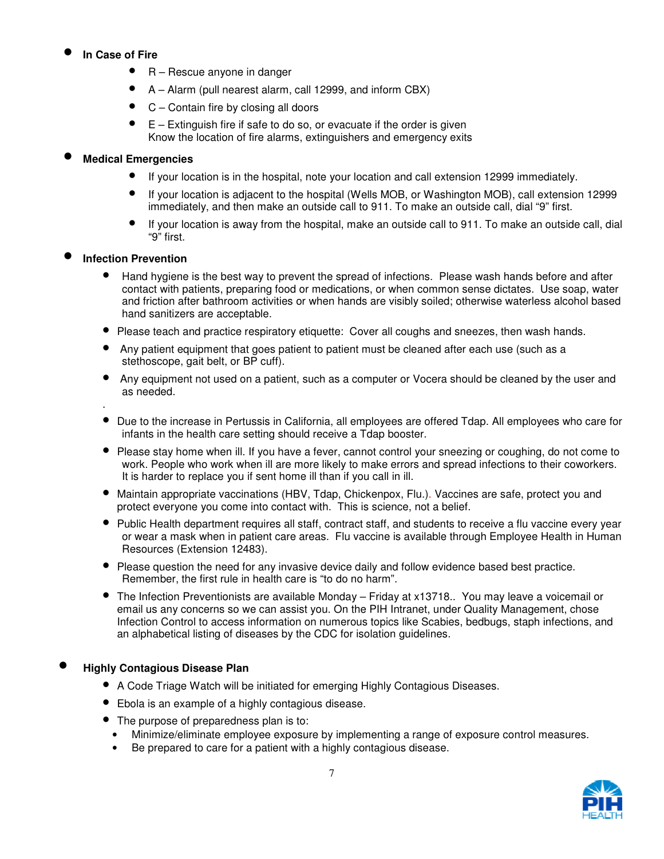# • **In Case of Fire**

- R Rescue anyone in danger
- A Alarm (pull nearest alarm, call 12999, and inform CBX)
- C Contain fire by closing all doors
- $E -$  Extinguish fire if safe to do so, or evacuate if the order is given Know the location of fire alarms, extinguishers and emergency exits

## • **Medical Emergencies**

- If your location is in the hospital, note your location and call extension 12999 immediately.
- If your location is adjacent to the hospital (Wells MOB, or Washington MOB), call extension 12999 immediately, and then make an outside call to 911. To make an outside call, dial "9" first.
- If your location is away from the hospital, make an outside call to 911. To make an outside call, dial "9" first.

## • **Infection Prevention**

- Hand hygiene is the best way to prevent the spread of infections. Please wash hands before and after contact with patients, preparing food or medications, or when common sense dictates. Use soap, water and friction after bathroom activities or when hands are visibly soiled; otherwise waterless alcohol based hand sanitizers are acceptable.
- Please teach and practice respiratory etiquette: Cover all coughs and sneezes, then wash hands.
- Any patient equipment that goes patient to patient must be cleaned after each use (such as a stethoscope, gait belt, or BP cuff).
- Any equipment not used on a patient, such as a computer or Vocera should be cleaned by the user and as needed.
- .
- Due to the increase in Pertussis in California, all employees are offered Tdap. All employees who care for infants in the health care setting should receive a Tdap booster.
- Please stay home when ill. If you have a fever, cannot control your sneezing or coughing, do not come to work. People who work when ill are more likely to make errors and spread infections to their coworkers. It is harder to replace you if sent home ill than if you call in ill.
- Maintain appropriate vaccinations (HBV, Tdap, Chickenpox, Flu.). Vaccines are safe, protect you and protect everyone you come into contact with. This is science, not a belief.
- Public Health department requires all staff, contract staff, and students to receive a flu vaccine every year or wear a mask when in patient care areas. Flu vaccine is available through Employee Health in Human Resources (Extension 12483).
- Please question the need for any invasive device daily and follow evidence based best practice. Remember, the first rule in health care is "to do no harm".
- The Infection Preventionists are available Monday Friday at x13718.. You may leave a voicemail or email us any concerns so we can assist you. On the PIH Intranet, under Quality Management, chose Infection Control to access information on numerous topics like Scabies, bedbugs, staph infections, and an alphabetical listing of diseases by the CDC for isolation guidelines.

## • **Highly Contagious Disease Plan**

- A Code Triage Watch will be initiated for emerging Highly Contagious Diseases.
- Ebola is an example of a highly contagious disease.
- The purpose of preparedness plan is to:
	- Minimize/eliminate employee exposure by implementing a range of exposure control measures.
- Be prepared to care for a patient with a highly contagious disease.

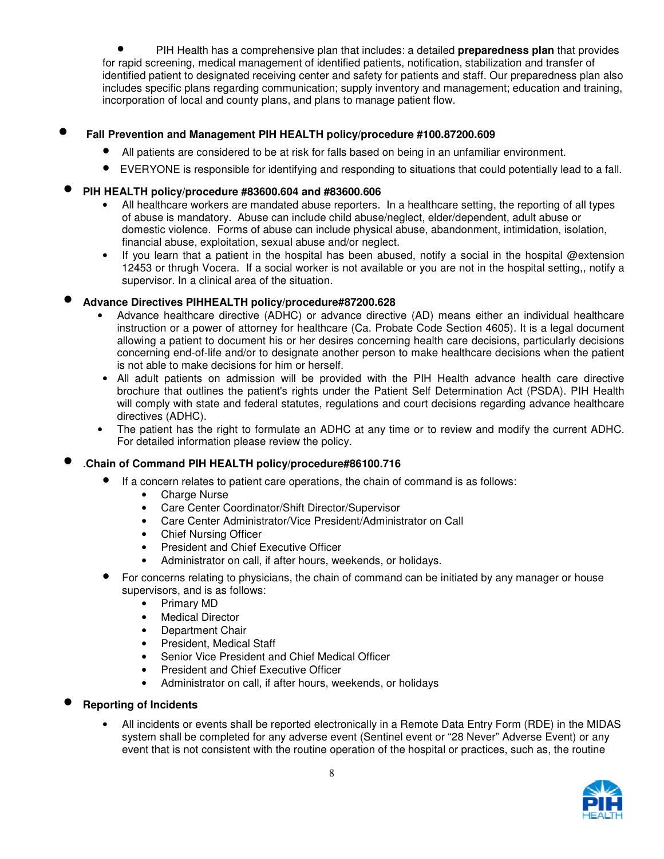• PIH Health has a comprehensive plan that includes: a detailed **preparedness plan** that provides for rapid screening, medical management of identified patients, notification, stabilization and transfer of identified patient to designated receiving center and safety for patients and staff. Our preparedness plan also includes specific plans regarding communication; supply inventory and management; education and training, incorporation of local and county plans, and plans to manage patient flow.

#### • **Fall Prevention and Management PIH HEALTH policy/procedure #100.87200.609**

- All patients are considered to be at risk for falls based on being in an unfamiliar environment.
- EVERYONE is responsible for identifying and responding to situations that could potentially lead to a fall.
- **PIH HEALTH policy/procedure #83600.604 and #83600.606** 
	- All healthcare workers are mandated abuse reporters. In a healthcare setting, the reporting of all types of abuse is mandatory. Abuse can include child abuse/neglect, elder/dependent, adult abuse or domestic violence. Forms of abuse can include physical abuse, abandonment, intimidation, isolation, financial abuse, exploitation, sexual abuse and/or neglect.
	- If vou learn that a patient in the hospital has been abused, notify a social in the hospital @extension 12453 or thrugh Vocera. If a social worker is not available or you are not in the hospital setting,, notify a supervisor. In a clinical area of the situation.

## • **Advance Directives PIHHEALTH policy/procedure#87200.628**

- Advance healthcare directive (ADHC) or advance directive (AD) means either an individual healthcare instruction or a power of attorney for healthcare (Ca. Probate Code Section 4605). It is a legal document allowing a patient to document his or her desires concerning health care decisions, particularly decisions concerning end-of-life and/or to designate another person to make healthcare decisions when the patient is not able to make decisions for him or herself.
- All adult patients on admission will be provided with the PIH Health advance health care directive brochure that outlines the patient's rights under the Patient Self Determination Act (PSDA). PIH Health will comply with state and federal statutes, regulations and court decisions regarding advance healthcare directives (ADHC).
- The patient has the right to formulate an ADHC at any time or to review and modify the current ADHC. For detailed information please review the policy.

#### • .**Chain of Command PIH HEALTH policy/procedure#86100.716**

- If a concern relates to patient care operations, the chain of command is as follows:
	- Charge Nurse
	- Care Center Coordinator/Shift Director/Supervisor
	- Care Center Administrator/Vice President/Administrator on Call
	- Chief Nursing Officer
	- President and Chief Executive Officer
	- Administrator on call, if after hours, weekends, or holidays.
- For concerns relating to physicians, the chain of command can be initiated by any manager or house supervisors, and is as follows:
	- Primary MD
	- Medical Director
	- Department Chair
	- President, Medical Staff
	- Senior Vice President and Chief Medical Officer
	- President and Chief Executive Officer
	- Administrator on call, if after hours, weekends, or holidays

## • **Reporting of Incidents**

• All incidents or events shall be reported electronically in a Remote Data Entry Form (RDE) in the MIDAS system shall be completed for any adverse event (Sentinel event or "28 Never" Adverse Event) or any event that is not consistent with the routine operation of the hospital or practices, such as, the routine

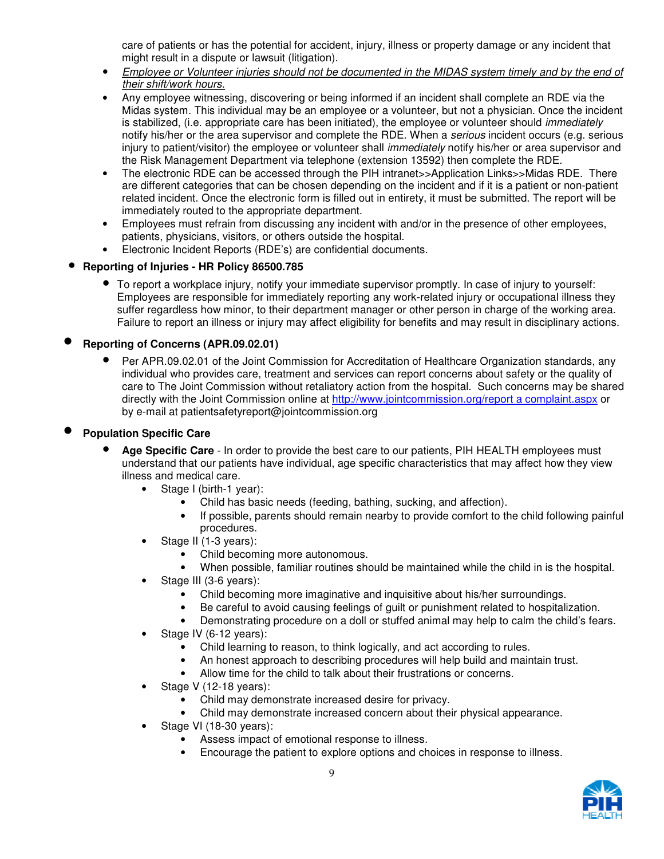care of patients or has the potential for accident, injury, illness or property damage or any incident that might result in a dispute or lawsuit (litigation).

- Employee or Volunteer injuries should not be documented in the MIDAS system timely and by the end of their shift/work hours.
- Any employee witnessing, discovering or being informed if an incident shall complete an RDE via the Midas system. This individual may be an employee or a volunteer, but not a physician. Once the incident is stabilized, (i.e. appropriate care has been initiated), the employee or volunteer should *immediately* notify his/her or the area supervisor and complete the RDE. When a *serious* incident occurs (e.g. serious injury to patient/visitor) the employee or volunteer shall *immediately* notify his/her or area supervisor and the Risk Management Department via telephone (extension 13592) then complete the RDE.
- The electronic RDE can be accessed through the PIH intranet>>Application Links>>Midas RDE. There are different categories that can be chosen depending on the incident and if it is a patient or non-patient related incident. Once the electronic form is filled out in entirety, it must be submitted. The report will be immediately routed to the appropriate department.
- Employees must refrain from discussing any incident with and/or in the presence of other employees, patients, physicians, visitors, or others outside the hospital.
- Electronic Incident Reports (RDE's) are confidential documents.

## • **Reporting of Injuries - HR Policy 86500.785**

• To report a workplace injury, notify your immediate supervisor promptly. In case of injury to yourself: Employees are responsible for immediately reporting any work-related injury or occupational illness they suffer regardless how minor, to their department manager or other person in charge of the working area. Failure to report an illness or injury may affect eligibility for benefits and may result in disciplinary actions.

# • **Reporting of Concerns (APR.09.02.01)**

• Per APR.09.02.01 of the Joint Commission for Accreditation of Healthcare Organization standards, any individual who provides care, treatment and services can report concerns about safety or the quality of care to The Joint Commission without retaliatory action from the hospital. Such concerns may be shared directly with the Joint Commission online at http://www.jointcommission.org/report a complaint.aspx or by e-mail at patientsafetyreport@jointcommission.org

## • **Population Specific Care**

- **Age Specific Care** In order to provide the best care to our patients, PIH HEALTH employees must understand that our patients have individual, age specific characteristics that may affect how they view illness and medical care.
	- Stage I (birth-1 year):
		- Child has basic needs (feeding, bathing, sucking, and affection).
		- If possible, parents should remain nearby to provide comfort to the child following painful procedures.
	- Stage II (1-3 years):
		- Child becoming more autonomous.
		- When possible, familiar routines should be maintained while the child in is the hospital.
	- Stage III (3-6 years):
		- Child becoming more imaginative and inquisitive about his/her surroundings.
		- Be careful to avoid causing feelings of guilt or punishment related to hospitalization.
		- Demonstrating procedure on a doll or stuffed animal may help to calm the child's fears.
	- Stage IV (6-12 years):
		- Child learning to reason, to think logically, and act according to rules.
		- An honest approach to describing procedures will help build and maintain trust.
		- Allow time for the child to talk about their frustrations or concerns.
	- Stage V (12-18 years):
		- Child may demonstrate increased desire for privacy.
		- Child may demonstrate increased concern about their physical appearance.
	- Stage VI (18-30 years):
		- Assess impact of emotional response to illness.
		- Encourage the patient to explore options and choices in response to illness.

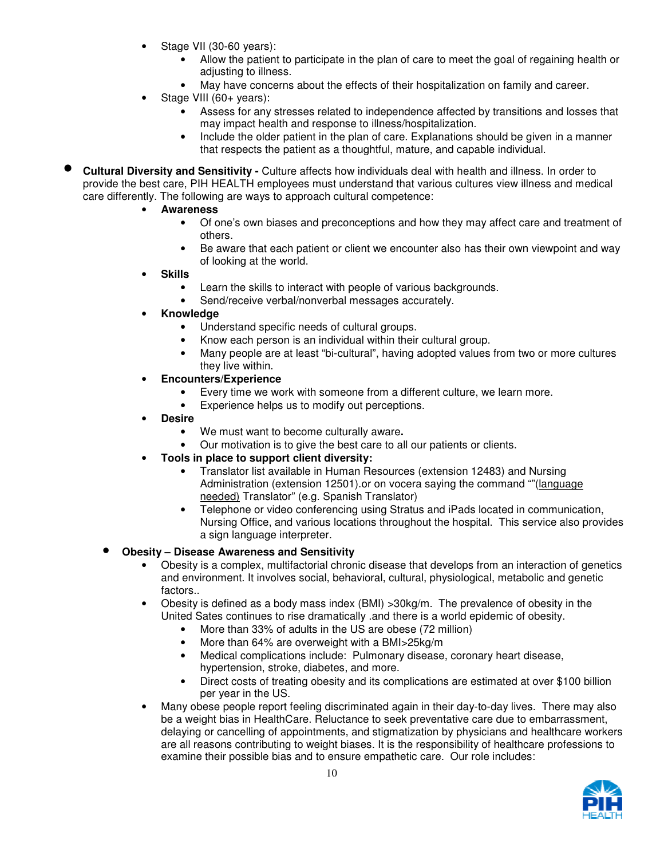- Stage VII (30-60 years):
	- Allow the patient to participate in the plan of care to meet the goal of regaining health or adjusting to illness.
	- May have concerns about the effects of their hospitalization on family and career.
- Stage VIII (60+ years):
	- Assess for any stresses related to independence affected by transitions and losses that may impact health and response to illness/hospitalization.
	- Include the older patient in the plan of care. Explanations should be given in a manner that respects the patient as a thoughtful, mature, and capable individual.
- **Cultural Diversity and Sensitivity** Culture affects how individuals deal with health and illness. In order to provide the best care, PIH HEALTH employees must understand that various cultures view illness and medical care differently. The following are ways to approach cultural competence:
	- **Awareness** 
		- Of one's own biases and preconceptions and how they may affect care and treatment of others.
		- Be aware that each patient or client we encounter also has their own viewpoint and way of looking at the world.
	- **Skills** 
		- Learn the skills to interact with people of various backgrounds.
		- Send/receive verbal/nonverbal messages accurately.
	- **Knowledge** 
		- Understand specific needs of cultural groups.
		- Know each person is an individual within their cultural group.
		- Many people are at least "bi-cultural", having adopted values from two or more cultures they live within.
	- **Encounters/Experience** 
		- Every time we work with someone from a different culture, we learn more.
		- Experience helps us to modify out perceptions.
	- **Desire** 
		- We must want to become culturally aware**.**
		- Our motivation is to give the best care to all our patients or clients.
	- **Tools in place to support client diversity:** 
		- Translator list available in Human Resources (extension 12483) and Nursing Administration (extension 12501).or on vocera saying the command ""(language needed) Translator" (e.g. Spanish Translator)
		- Telephone or video conferencing using Stratus and iPads located in communication, Nursing Office, and various locations throughout the hospital. This service also provides a sign language interpreter.

#### • **Obesity – Disease Awareness and Sensitivity**

- Obesity is a complex, multifactorial chronic disease that develops from an interaction of genetics and environment. It involves social, behavioral, cultural, physiological, metabolic and genetic factors..
- Obesity is defined as a body mass index (BMI) >30kg/m. The prevalence of obesity in the United Sates continues to rise dramatically .and there is a world epidemic of obesity.
	- More than 33% of adults in the US are obese (72 million)
	- More than 64% are overweight with a BMI>25kg/m
	- Medical complications include: Pulmonary disease, coronary heart disease, hypertension, stroke, diabetes, and more.
	- Direct costs of treating obesity and its complications are estimated at over \$100 billion per year in the US.
- Many obese people report feeling discriminated again in their day-to-day lives. There may also be a weight bias in HealthCare. Reluctance to seek preventative care due to embarrassment, delaying or cancelling of appointments, and stigmatization by physicians and healthcare workers are all reasons contributing to weight biases. It is the responsibility of healthcare professions to examine their possible bias and to ensure empathetic care. Our role includes:

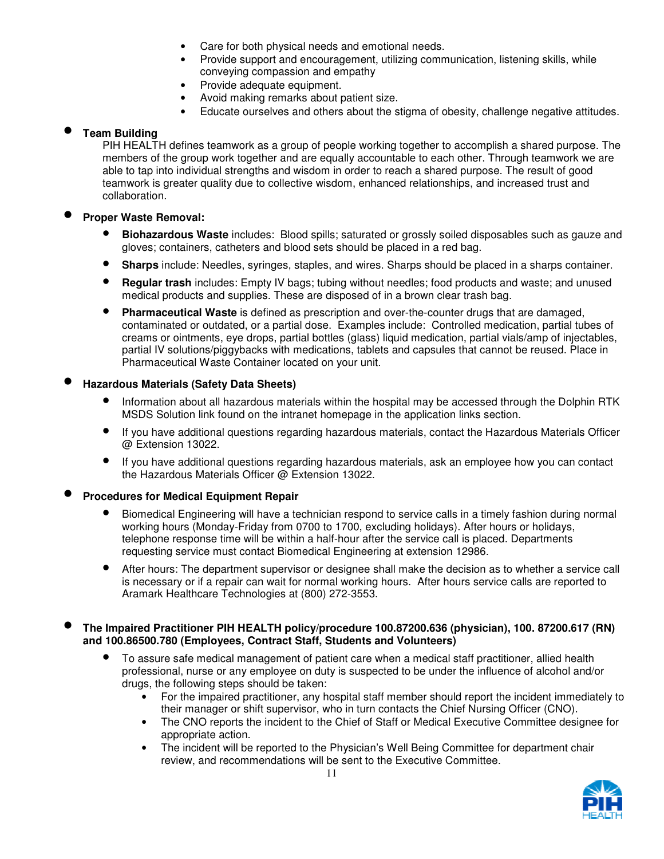- Care for both physical needs and emotional needs.
- Provide support and encouragement, utilizing communication, listening skills, while conveying compassion and empathy
- Provide adequate equipment.
- Avoid making remarks about patient size.
- Educate ourselves and others about the stigma of obesity, challenge negative attitudes.

#### • **Team Building**

PIH HEALTH defines teamwork as a group of people working together to accomplish a shared purpose. The members of the group work together and are equally accountable to each other. Through teamwork we are able to tap into individual strengths and wisdom in order to reach a shared purpose. The result of good teamwork is greater quality due to collective wisdom, enhanced relationships, and increased trust and collaboration.

#### • **Proper Waste Removal:**

- **Biohazardous Waste** includes: Blood spills; saturated or grossly soiled disposables such as gauze and gloves; containers, catheters and blood sets should be placed in a red bag.
- **Sharps** include: Needles, syringes, staples, and wires. Sharps should be placed in a sharps container.
- **Regular trash** includes: Empty IV bags; tubing without needles; food products and waste; and unused medical products and supplies. These are disposed of in a brown clear trash bag.
- **Pharmaceutical Waste** is defined as prescription and over-the-counter drugs that are damaged, contaminated or outdated, or a partial dose. Examples include: Controlled medication, partial tubes of creams or ointments, eye drops, partial bottles (glass) liquid medication, partial vials/amp of injectables, partial IV solutions/piggybacks with medications, tablets and capsules that cannot be reused. Place in Pharmaceutical Waste Container located on your unit.

#### • **Hazardous Materials (Safety Data Sheets)**

- Information about all hazardous materials within the hospital may be accessed through the Dolphin RTK MSDS Solution link found on the intranet homepage in the application links section.
- If you have additional questions regarding hazardous materials, contact the Hazardous Materials Officer @ Extension 13022.
- If you have additional questions regarding hazardous materials, ask an employee how you can contact the Hazardous Materials Officer @ Extension 13022.

#### • **Procedures for Medical Equipment Repair**

- Biomedical Engineering will have a technician respond to service calls in a timely fashion during normal working hours (Monday-Friday from 0700 to 1700, excluding holidays). After hours or holidays, telephone response time will be within a half-hour after the service call is placed. Departments requesting service must contact Biomedical Engineering at extension 12986.
- After hours: The department supervisor or designee shall make the decision as to whether a service call is necessary or if a repair can wait for normal working hours. After hours service calls are reported to Aramark Healthcare Technologies at (800) 272-3553.

#### • **The Impaired Practitioner PIH HEALTH policy/procedure 100.87200.636 (physician), 100. 87200.617 (RN) and 100.86500.780 (Employees, Contract Staff, Students and Volunteers)**

- To assure safe medical management of patient care when a medical staff practitioner, allied health professional, nurse or any employee on duty is suspected to be under the influence of alcohol and/or drugs, the following steps should be taken:
	- For the impaired practitioner, any hospital staff member should report the incident immediately to their manager or shift supervisor, who in turn contacts the Chief Nursing Officer (CNO).
	- The CNO reports the incident to the Chief of Staff or Medical Executive Committee designee for appropriate action.
	- The incident will be reported to the Physician's Well Being Committee for department chair review, and recommendations will be sent to the Executive Committee.

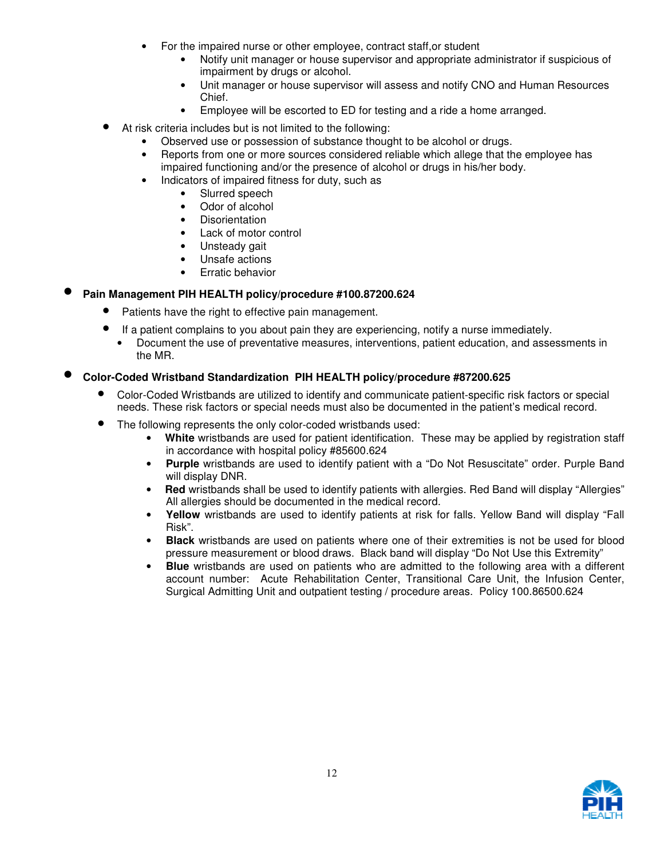- For the impaired nurse or other employee, contract staff,or student
	- Notify unit manager or house supervisor and appropriate administrator if suspicious of impairment by drugs or alcohol.
	- Unit manager or house supervisor will assess and notify CNO and Human Resources Chief.
	- Employee will be escorted to ED for testing and a ride a home arranged.
- At risk criteria includes but is not limited to the following:
	- Observed use or possession of substance thought to be alcohol or drugs.
	- Reports from one or more sources considered reliable which allege that the employee has impaired functioning and/or the presence of alcohol or drugs in his/her body.
	- Indicators of impaired fitness for duty, such as
		- Slurred speech
		- Odor of alcohol
		- Disorientation
		- Lack of motor control
		- Unsteady gait
		- Unsafe actions
		- Erratic behavior

#### • **Pain Management PIH HEALTH policy/procedure #100.87200.624**

- Patients have the right to effective pain management.
- If a patient complains to you about pain they are experiencing, notify a nurse immediately.
	- Document the use of preventative measures, interventions, patient education, and assessments in the MR.

## • **Color-Coded Wristband Standardization PIH HEALTH policy/procedure #87200.625**

- Color-Coded Wristbands are utilized to identify and communicate patient-specific risk factors or special needs. These risk factors or special needs must also be documented in the patient's medical record.
- The following represents the only color-coded wristbands used:
	- • **White** wristbands are used for patient identification. These may be applied by registration staff in accordance with hospital policy #85600.624
	- **Purple** wristbands are used to identify patient with a "Do Not Resuscitate" order. Purple Band will display DNR.
	- **Red** wristbands shall be used to identify patients with allergies. Red Band will display "Allergies" All allergies should be documented in the medical record.
	- **Yellow** wristbands are used to identify patients at risk for falls. Yellow Band will display "Fall Risk".
	- **Black** wristbands are used on patients where one of their extremities is not be used for blood pressure measurement or blood draws. Black band will display "Do Not Use this Extremity"
	- **Blue** wristbands are used on patients who are admitted to the following area with a different account number: Acute Rehabilitation Center, Transitional Care Unit, the Infusion Center, Surgical Admitting Unit and outpatient testing / procedure areas. Policy 100.86500.624

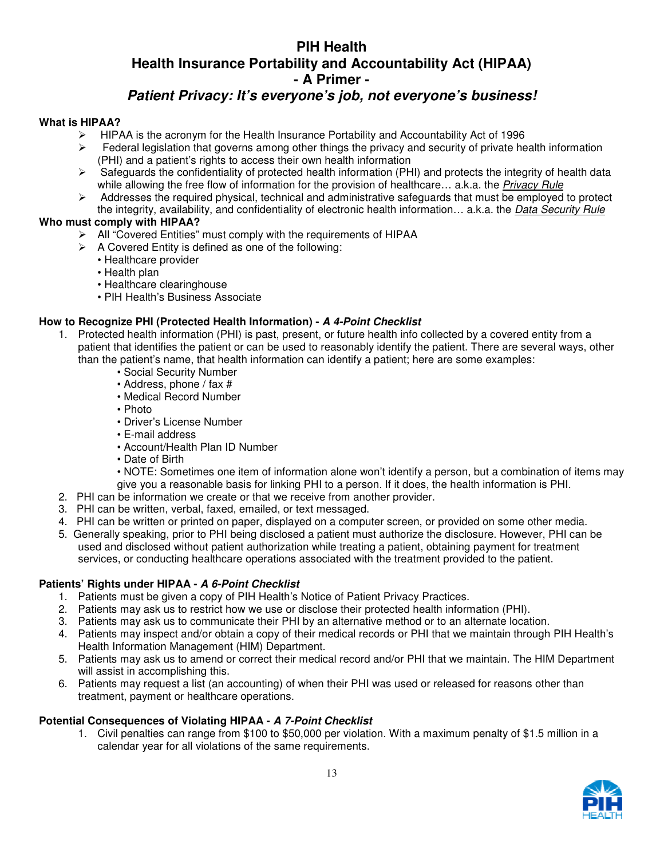# **PIH Health Health Insurance Portability and Accountability Act (HIPAA) - A Primer -**

# **Patient Privacy: It's everyone's job, not everyone's business!**

#### **What is HIPAA?**

- $\triangleright$  HIPAA is the acronym for the Health Insurance Portability and Accountability Act of 1996
- $\triangleright$  Federal legislation that governs among other things the privacy and security of private health information (PHI) and a patient's rights to access their own health information
- $\triangleright$  Safeguards the confidentiality of protected health information (PHI) and protects the integrity of health data while allowing the free flow of information for the provision of healthcare... a.k.a. the Privacy Rule
- $\triangleright$  Addresses the required physical, technical and administrative safeguards that must be employed to protect the integrity, availability, and confidentiality of electronic health information... a.k.a. the Data Security Rule

#### **Who must comply with HIPAA?**

- All "Covered Entities" must comply with the requirements of HIPAA
- $\triangleright$  A Covered Entity is defined as one of the following:
	- Healthcare provider
		- Health plan
		- Healthcare clearinghouse
		- PIH Health's Business Associate

#### **How to Recognize PHI (Protected Health Information) - A 4-Point Checklist**

- 1. Protected health information (PHI) is past, present, or future health info collected by a covered entity from a patient that identifies the patient or can be used to reasonably identify the patient. There are several ways, other than the patient's name, that health information can identify a patient; here are some examples:
	- Social Security Number
	- Address, phone / fax #
	- Medical Record Number
	- Photo
	- Driver's License Number
	- E-mail address
	- Account/Health Plan ID Number
	- Date of Birth
	- NOTE: Sometimes one item of information alone won't identify a person, but a combination of items may give you a reasonable basis for linking PHI to a person. If it does, the health information is PHI.
- 2. PHI can be information we create or that we receive from another provider.
- 3. PHI can be written, verbal, faxed, emailed, or text messaged.
- 4. PHI can be written or printed on paper, displayed on a computer screen, or provided on some other media.
- 5. Generally speaking, prior to PHI being disclosed a patient must authorize the disclosure. However, PHI can be used and disclosed without patient authorization while treating a patient, obtaining payment for treatment services, or conducting healthcare operations associated with the treatment provided to the patient.

#### **Patients' Rights under HIPAA - A 6-Point Checklist**

- 1. Patients must be given a copy of PIH Health's Notice of Patient Privacy Practices.
- 2. Patients may ask us to restrict how we use or disclose their protected health information (PHI).
- 3. Patients may ask us to communicate their PHI by an alternative method or to an alternate location.
- 4. Patients may inspect and/or obtain a copy of their medical records or PHI that we maintain through PIH Health's Health Information Management (HIM) Department.
- 5. Patients may ask us to amend or correct their medical record and/or PHI that we maintain. The HIM Department will assist in accomplishing this.
- 6. Patients may request a list (an accounting) of when their PHI was used or released for reasons other than treatment, payment or healthcare operations.

#### **Potential Consequences of Violating HIPAA - A 7-Point Checklist**

1. Civil penalties can range from \$100 to \$50,000 per violation. With a maximum penalty of \$1.5 million in a calendar year for all violations of the same requirements.

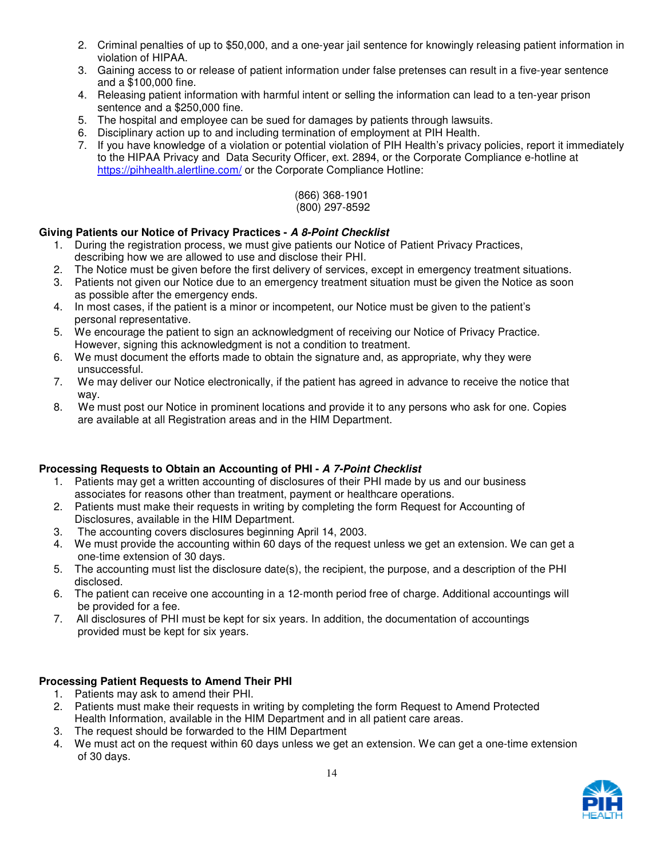- 2. Criminal penalties of up to \$50,000, and a one-year jail sentence for knowingly releasing patient information in violation of HIPAA.
- 3. Gaining access to or release of patient information under false pretenses can result in a five-year sentence and a \$100,000 fine.
- 4. Releasing patient information with harmful intent or selling the information can lead to a ten-year prison sentence and a \$250,000 fine.
- 5. The hospital and employee can be sued for damages by patients through lawsuits.
- 6. Disciplinary action up to and including termination of employment at PIH Health.
- 7. If you have knowledge of a violation or potential violation of PIH Health's privacy policies, report it immediately to the HIPAA Privacy and Data Security Officer, ext. 2894, or the Corporate Compliance e-hotline at https://pihhealth.alertline.com/ or the Corporate Compliance Hotline:

(866) 368-1901 (800) 297-8592

#### **Giving Patients our Notice of Privacy Practices - A 8-Point Checklist**

- 1. During the registration process, we must give patients our Notice of Patient Privacy Practices, describing how we are allowed to use and disclose their PHI.
- 2. The Notice must be given before the first delivery of services, except in emergency treatment situations.
- 3. Patients not given our Notice due to an emergency treatment situation must be given the Notice as soon as possible after the emergency ends.
- 4. In most cases, if the patient is a minor or incompetent, our Notice must be given to the patient's personal representative.
- 5. We encourage the patient to sign an acknowledgment of receiving our Notice of Privacy Practice. However, signing this acknowledgment is not a condition to treatment.
- 6. We must document the efforts made to obtain the signature and, as appropriate, why they were unsuccessful.
- 7. We may deliver our Notice electronically, if the patient has agreed in advance to receive the notice that way.
- 8. We must post our Notice in prominent locations and provide it to any persons who ask for one. Copies are available at all Registration areas and in the HIM Department.

## **Processing Requests to Obtain an Accounting of PHI - A 7-Point Checklist**

- 1. Patients may get a written accounting of disclosures of their PHI made by us and our business associates for reasons other than treatment, payment or healthcare operations.
- 2. Patients must make their requests in writing by completing the form Request for Accounting of Disclosures, available in the HIM Department.
- 3. The accounting covers disclosures beginning April 14, 2003.
- 4. We must provide the accounting within 60 days of the request unless we get an extension. We can get a one-time extension of 30 days.
- 5. The accounting must list the disclosure date(s), the recipient, the purpose, and a description of the PHI disclosed.
- 6. The patient can receive one accounting in a 12-month period free of charge. Additional accountings will be provided for a fee.
- 7. All disclosures of PHI must be kept for six years. In addition, the documentation of accountings provided must be kept for six years.

#### **Processing Patient Requests to Amend Their PHI**

- 1. Patients may ask to amend their PHI.
- 2. Patients must make their requests in writing by completing the form Request to Amend Protected Health Information, available in the HIM Department and in all patient care areas.
- 3. The request should be forwarded to the HIM Department
- 4. We must act on the request within 60 days unless we get an extension. We can get a one-time extension of 30 days.

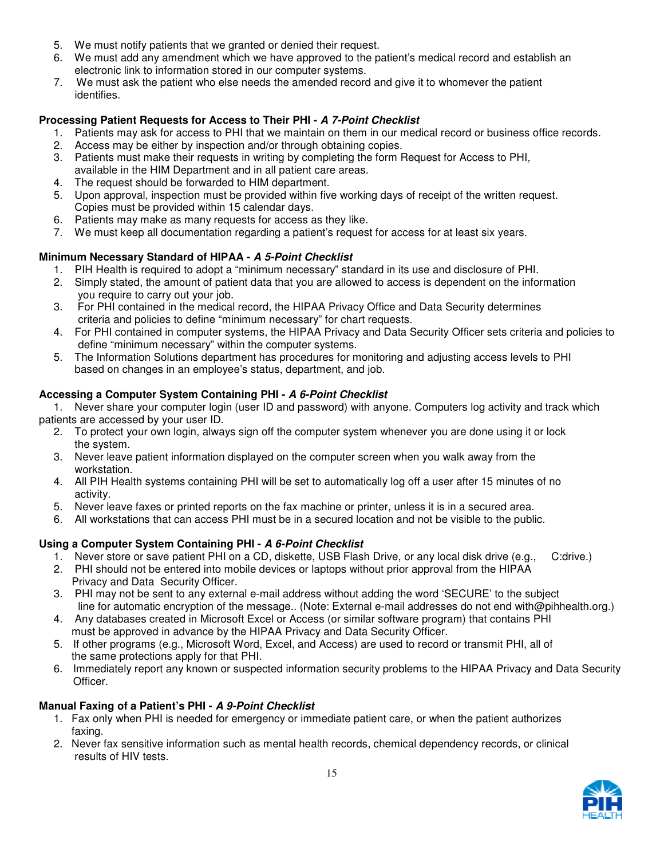- 5. We must notify patients that we granted or denied their request.
- 6. We must add any amendment which we have approved to the patient's medical record and establish an electronic link to information stored in our computer systems.
- 7. We must ask the patient who else needs the amended record and give it to whomever the patient identifies.

## **Processing Patient Requests for Access to Their PHI - A 7-Point Checklist**

- 1. Patients may ask for access to PHI that we maintain on them in our medical record or business office records.
- 2. Access may be either by inspection and/or through obtaining copies.
- 3. Patients must make their requests in writing by completing the form Request for Access to PHI, available in the HIM Department and in all patient care areas.
- 4. The request should be forwarded to HIM department.
- 5. Upon approval, inspection must be provided within five working days of receipt of the written request. Copies must be provided within 15 calendar days.
- 6. Patients may make as many requests for access as they like.
- 7. We must keep all documentation regarding a patient's request for access for at least six years.

# **Minimum Necessary Standard of HIPAA - A 5-Point Checklist**

- 1. PIH Health is required to adopt a "minimum necessary" standard in its use and disclosure of PHI.
- 2. Simply stated, the amount of patient data that you are allowed to access is dependent on the information you require to carry out your job.
- 3. For PHI contained in the medical record, the HIPAA Privacy Office and Data Security determines criteria and policies to define "minimum necessary" for chart requests.
- 4. For PHI contained in computer systems, the HIPAA Privacy and Data Security Officer sets criteria and policies to define "minimum necessary" within the computer systems.
- 5. The Information Solutions department has procedures for monitoring and adjusting access levels to PHI based on changes in an employee's status, department, and job.

## **Accessing a Computer System Containing PHI - A 6-Point Checklist**

1. Never share your computer login (user ID and password) with anyone. Computers log activity and track which patients are accessed by your user ID.

- 2. To protect your own login, always sign off the computer system whenever you are done using it or lock the system.
- 3. Never leave patient information displayed on the computer screen when you walk away from the workstation.
- 4. All PIH Health systems containing PHI will be set to automatically log off a user after 15 minutes of no activity.
- 5. Never leave faxes or printed reports on the fax machine or printer, unless it is in a secured area.
- 6. All workstations that can access PHI must be in a secured location and not be visible to the public.

## **Using a Computer System Containing PHI - A 6-Point Checklist**

- 1. Never store or save patient PHI on a CD, diskette, USB Flash Drive, or any local disk drive (e.g., C:drive.)
- 2. PHI should not be entered into mobile devices or laptops without prior approval from the HIPAA Privacy and Data Security Officer.
- 3. PHI may not be sent to any external e-mail address without adding the word 'SECURE' to the subject line for automatic encryption of the message.. (Note: External e-mail addresses do not end with@pihhealth.org.)
- 4. Any databases created in Microsoft Excel or Access (or similar software program) that contains PHI must be approved in advance by the HIPAA Privacy and Data Security Officer.
- 5. If other programs (e.g., Microsoft Word, Excel, and Access) are used to record or transmit PHI, all of the same protections apply for that PHI.
- 6. Immediately report any known or suspected information security problems to the HIPAA Privacy and Data Security Officer.

## **Manual Faxing of a Patient's PHI - A 9-Point Checklist**

- 1. Fax only when PHI is needed for emergency or immediate patient care, or when the patient authorizes faxing.
- 2. Never fax sensitive information such as mental health records, chemical dependency records, or clinical results of HIV tests.